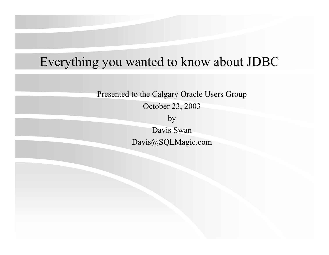#### Everything Everything you wanted to know about JDBC

Presented to the Calgary Oracle Users Group

October 23, 2003

by

Davis Swan Davis@SQLMagic.com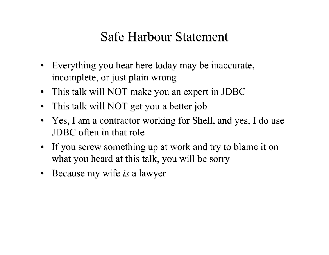#### Safe Harbour Statement

- Everything you hear here today may be inaccurate, incomplete, or just plain wrong
- This talk will NOT make you an expert in JDBC
- This talk will NOT get you a better job
- Yes, I am a contractor working for Shell, and yes, I do use JDBC often in that role
- If you screw something up at work and try to blame it on what you heard at this talk, you will be sorry
- Because my wife *is* a lawyer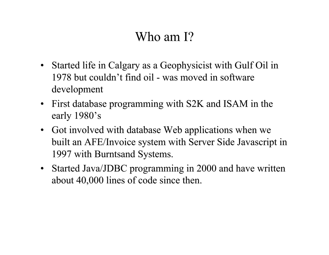# Who am I?

- Started life in Calgary as a Geophysicist with Gulf Oil in 1978 but couldn't find oil - was moved in software development
- First database programming with S2K and ISAM in the early  $1980$ 's
- Got involved with database Web applications when we built an AFE/Invoice system with Server Side Javascript in 1997 with Burntsand Systems.
- Started Java/JDBC programming in 2000 and have written about 40,000 lines of code since then.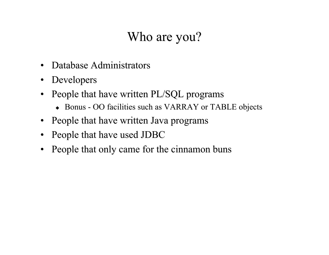# Who are you?

- Database Administrators
- Developers
- People that have written PL/SQL programs
	- $\bullet$  Bonus OO facilities such as VARRAY or TABLE objects
- People that have written Java programs
- People that have used JDBC
- People that only came for the cinnamon buns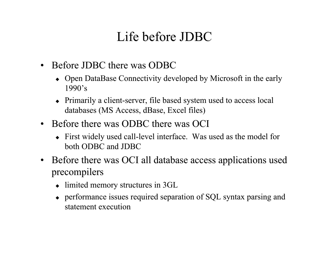# Life before JDBC

- Before JDBC there was ODBC
	- $\bullet$  Open DataBase Connectivity developed by Microsoft in the early 1990's
	- $\bullet$  Primarily a client-server, file based system used to access local databases (MS Access, dBase, Excel files)
- Before there was ODBC there was OCI
	- First widely used call-level interface. Was used as the model for both ODBC and JDBC
- Before there was OCI all database access applications used precompilers
	- $\bullet$  limited memory structures in 3GL
	- $\bullet$  performance issues required separation of SQL syntax parsing and statement execution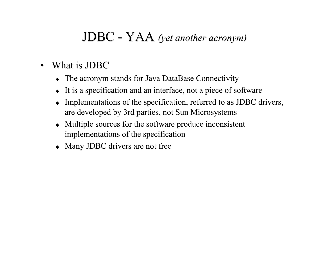#### JDBC - YAA *(yet another acronym) (yet another acronym)*

- What is JDBC
	- $\bullet$  The acronym stands for Java DataBase Connectivity
	- It is a specification and an interface, not a piece of software
	- Implementations of the specification, referred to as JDBC drivers, are developed by 3rd parties, not Sun Microsystems
	- $\bullet$  Multiple sources for the software produce inconsistent implementations of the specification
	- $\triangleleft$  Many JDBC drivers are not free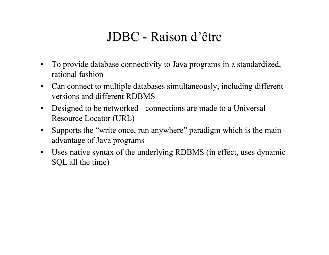#### JDBC - Raison d'être

- To provide database connectivity to Java programs in a standardized, rational fashion
- Can connect to multiple databases simultaneously, including different versions and different RDBMS
- Designed to be networked connections are made to a Universal Resource Locator (URL)
- Supports the "write once, run anywhere" paradigm which is the main advantage of Java programs
- Uses native syntax of the underlying RDBMS (in effect, uses dynamic SQL all the time)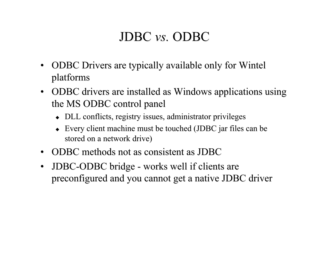# JDBC *vs.* ODBC

- ODBC Drivers are typically available only for Wintel platforms platforms
- ODBC drivers are installed as Windows applications using the MS ODBC control panel
	- $\bullet$  DLL conflicts, registry issues, administrator privileges
	- Every client machine must be touched (JDBC jar files can be stored on a network drive)
- ODBC methods not as consistent as JDBC
- JDBC-ODBC bridge works well if clients are preconfigured and you cannot get a native JDBC driver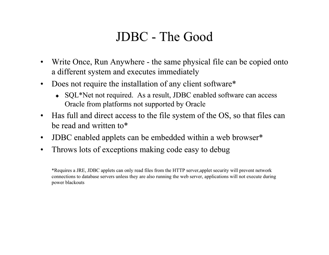#### JDBC - The Good

- Write Once, Run Anywhere the same physical file can be copied onto a different system and executes immediately
- Does not require the installation of any client software\*
	- $\bullet$  SQL\*Net not required. As a result, JDBC enabled software can access Oracle from platforms not supported by Oracle
- Has full and direct access to the file system of the OS, so that files can be read and written to\*
- JDBC enabled applets can be embedded within a web browser\*
- Throws lots of exceptions making code easy to debug

\*Requires \*Requires a JRE, JDBC applets can only read files from the HTTP server,applet server,applet security security will prevent network network connections to database servers unless they are also running the web server, applications will not execute during power blackouts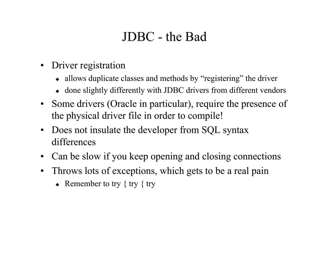# JDBC - the Bad

- Driver registration
	- $\bullet$  allows duplicate classes and methods by "registering" the driver
	- $\bullet$  done slightly differently with JDBC drivers from different vendors
- Some drivers (Oracle in particular), require the presence of the physical driver file in order to compile!
- Does not insulate the developer from SQL syntax differences
- Can be slow if you keep opening and closing connections
- Throws lots of exceptions, which gets to be a real pain
	- Remember to try  $\{$  try  $\{$  try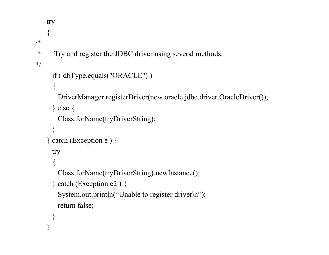```
 try
\{/*
 * Try and register the JDBC driver using several methods. * Try and register the JDBC driver using several methods.
*/
      if ( dbType.equals("ORACLE") )
\{DriverManager.registerDriver(new oracle.jdbc.driver.OracleDriver());
       } else { } else {
        Class.forName(tryDriverString);
        } }
    \} catch (Exception e ) \{try
\{Class.forName(tryDriverString).newInstance();
       } catch (Exception e2 ) { } catch (Exception e2 ) {
         System.out.println("Unable to register driver\n");
        return false;
 } }
 }
```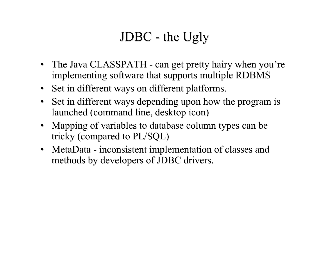# JDBC - the Ugly

- The Java CLASSPATH can get pretty hairy when you're implementing software that supports multiple RDBMS
- Set in different ways on different platforms.
- Set in different ways depending upon how the program is launched (command line, desktop icon)
- Mapping of variables to database column types can be tricky (compared to  $PL/SQL$ )
- MetaData inconsistent implementation of classes and methods by developers of JDBC drivers.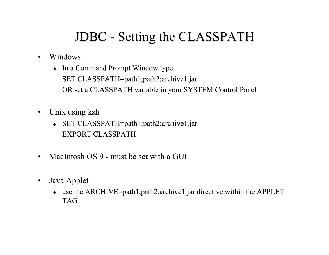# JDBC - Setting the CLASSPATH

- $\bullet$  Windows
	- $\bullet$  In a Command Prompt Window type SET CLASSPATH=path1;path2;archive1.jar OR set a CLASSPATH variable in your SYSTEM Control Panel
- Unix using ksh
	- $\triangle$  SET CLASSPATH=path1:path2:archive1.jar EXPORT CLASSPATH
- MacIntosh OS 9 must be set with a GUI
- Java Applet
	- $\bullet$  use the ARCHIVE=path1,path2,archive1.jar directive within the APPLET TAG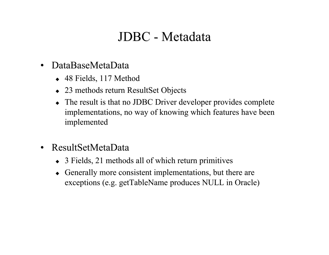#### JDBC - Metadata

- DataBaseMetaData
	- $\triangleleft$  48 Fields, 117 Method
	- $\triangle$  23 methods return ResultSet Objects
	- $\bullet$  The result is that no JDBC Driver developer provides complete implementations, no way of knowing which features have been implemented
- ResultSetMetaData
	- $\bullet$  3 Fields, 21 methods all of which return primitives
	- $\bullet$  Generally more consistent implementations, but there are exceptions (e.g. getTableName produces NULL in Oracle)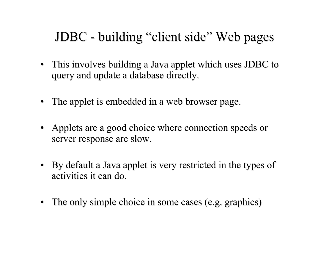# JDBC - building "client side" Web pages

- This involves building a Java applet which uses JDBC to query and update a database directly. query and update a database directly.
- The applet is embedded in a web browser page.
- Applets are a good choice where connection speeds or server response are slow.
- By default a Java applet is very restricted in the types of activities it can do.
- The only simple choice in some cases (e.g. graphics)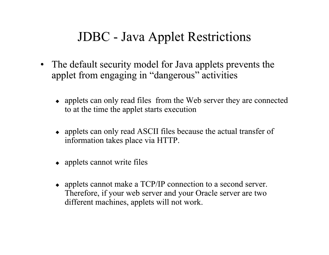#### JDBC - Java Applet Restrictions

- The default security model for Java applets prevents the applet from engaging in "dangerous" activities
	- $\bullet$  applets can only read files from the Web server they are connected to at the time the applet starts execution
	- $\bullet$  applets can only read ASCII files because the actual transfer of information information takes place via HTTP.
	- $\leftrightarrow$  applets cannot write files
	- $\bullet$  applets cannot make a TCP/IP connection to a second server. Therefore, if your web server and your Oracle server are two different machines, applets will not work.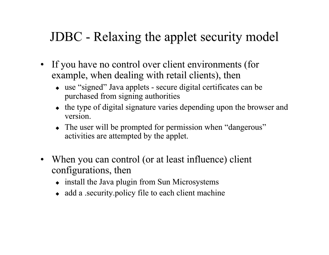# JDBC - Relaxing the applet security model

- If you have no control over client environments (for example, when dealing with retail clients), then
	- use "signed" Java applets secure digital certificates can be purchased from signing authorities
	- $\bullet$  the type of digital signature varies depending upon the browser and version. version.
	- $\bullet$  The user will be prompted for permission when "dangerous" activities are attempted by the applet.
- When you can control (or at least influence) client configurations, then
	- $\bullet$  install the Java plugin from Sun Microsystems
	- $\bullet$  add a .security.policy file to each client machine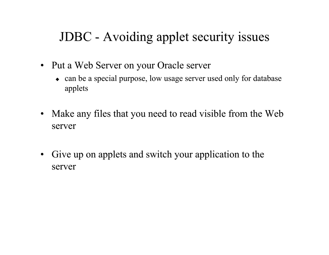# JDBC - Avoiding applet security issues

- Put a Web Server on your Oracle server
	- $\bullet$  can be a special purpose, low usage server used only for database applets applets
- Make any files that you need to read visible from the Web server
- Give up on applets and switch your application to the server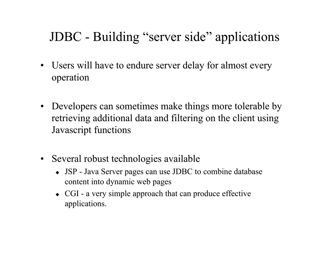# JDBC - Building "server side" applications

- Users will have to endure server delay for almost every operation
- Developers can sometimes make things more tolerable by retrieving additional data and filtering on the client using Javascript functions
- Several robust technologies available
	- $\bullet$  JSP Java Server pages can use JDBC to combine database content into dynamic web pages
	- $\bullet$  CGI a very simple approach that can produce effective applications. applications.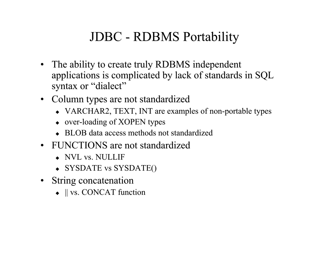# JDBC - RDBMS Portability

- The ability to create truly RDBMS independent applications is complicated by lack of standards in SQL syntax or "dialect"
- Column types are not standardized
	- $\blacklozenge$  VARCHAR2, TEXT, INT are examples of non-portable types
	- $\bullet$  over-loading of XOPEN types
	- $\bullet$  BLOB data access methods not standardized
- FUNCTIONS are not standardized
	- NVL vs. NULLIF
	- $\bullet$  SYSDATE vs SYSDATE()
- String concatenation
	- $\bullet$  || vs. CONCAT function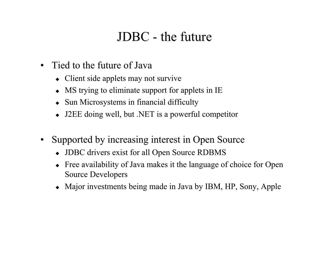#### JDBC - the future

- Tied to the future of Java
	- $\bullet$  Client side applets may not survive
	- MS trying to eliminate support for applets in IE
	- Sun Microsystems in financial difficulty
	- J2EE doing well, but .NET is a powerful competitor
- Supported by increasing interest in Open Source
	- JDBC drivers exist for all Open Source RDBMS
	- $\bullet$  Free availability of Java makes it the language of choice for Open Source Developers
	- $\bullet$  Major investments being made in Java by IBM, HP, Sony, Apple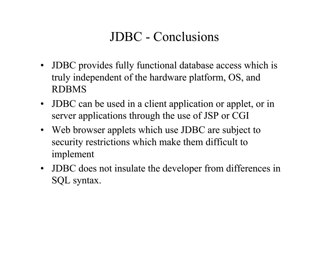# JDBC - Conclusions

- JDBC provides fully functional database access which is truly independent of the hardware platform, OS, and RDBMS
- JDBC can be used in a client application or applet, or in server applications through the use of JSP or CGI
- Web browser applets which use JDBC are subject to security restrictions which make them difficult to implement
- JDBC does not insulate the developer from differences in SQL syntax.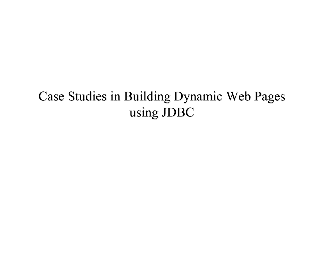# Case Studies in Building Dynamic Web Pages using JDBC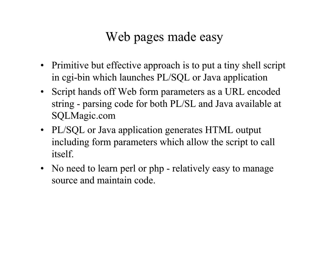# Web pages made easy

- Primitive but effective approach is to put a tiny shell script in cgi-bin which launches PL/SQL or Java application
- Script hands off Web form parameters as a URL encoded string - parsing code for both PL/SL and Java available at SQLMagic.com
- PL/SQL or Java application generates HTML output including form parameters which allow the script to call itself.
- No need to learn perl or php relatively easy to manage source and maintain code.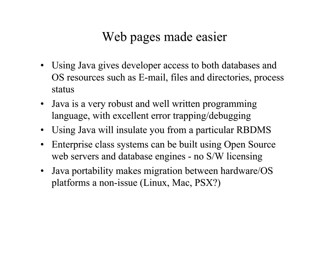#### Web pages made easier

- Using Java gives developer access to both databases and OS resources such as E-mail, files and directories, process status
- Java is a very robust and well written programming language, with excellent error trapping/debugging
- Using Java will insulate you from a particular RBDMS
- Enterprise class systems can be built using Open Source web servers and database engines - no S/W licensing
- Java portability makes migration between hardware/OS platforms a non-issue (Linux, Mac,  $PSX$ ?)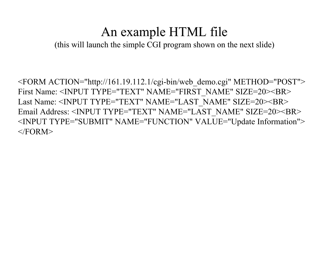# An example HTML file

(this will launch the simple CGI program shown on the next slide)

<FORM ACTION="http://161.19.112.1/cgi-bin/web\_demo.cgi" METHOD="POST"> First Name: <INPUT TYPE="TEXT" NAME="FIRST\_NAME" SIZE=20><BR> Last Name: <INPUT TYPE="TEXT" NAME="LAST\_NAME" SIZE=20><BR> Email Address: <INPUT TYPE="TEXT" NAME="LAST\_NAME" SIZE=20><BR> <INPUT TYPE="SUBMIT" NAME="FUNCTION" VALUE="Update Information">  $<$ FORM $>$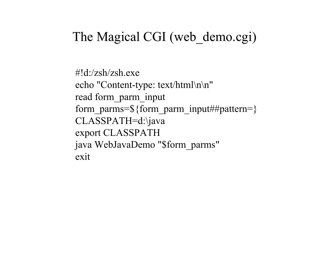#### The Magical CGI (web demo.cgi)

#!d:/zsh/zsh.exe echo "Content-type: text/html\n\n" read form\_parm\_input form parms=\${form parm input##pattern=} CLASSPATH=d:\java export CLASSPATH java WebJavaDemo "\$form\_parms" exit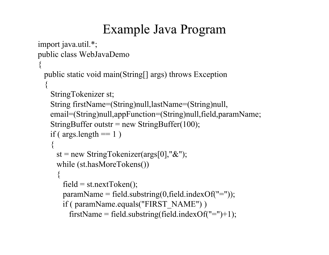# Example Java Program

```
import java.util.*;
public class WebJavaDemo
  public static void main(String[] args) throws Exception 
\{ StringTokenizer st;
    String firstName=(String)null,lastName=(String)null,
    email=(String)null,appFunction=(String)null,field,paramName;
    StringBuffer outstr = new StringBuffer(100);
   if (args.length == 1)
\{st = new StringTokenizer(args[0],"\&");
      while (st.hasMoreTokens())
\{field = st.nextToken();paramName = field.substring(0, field.indexOf("=")); if ( paramName.equals("FIRST_NAME") ) 
         firstName = field.substring(field.indexOf("=")+1);
```
{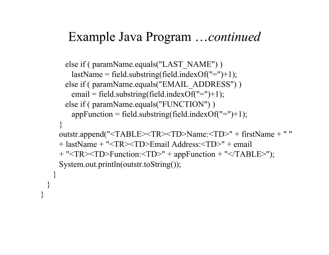#### Example Java Program ...continued

```
 else if ( paramName.equals("LAST_NAME") )
   lastName = field.substring(field.indexOf("=")+1); else if ( paramName.equals("EMAIL_ADDRESS") )
   email = field.substring(field.indexOf("=")+1);
  else if ( paramName.equals("FUNCTION") )
   appFunction = field.substring(field.indexOf("=") + 1); } 
 outstr.append("<TABLE><TR><TD>Name:<TD>" + firstName + " "
 + lastName + "<TR><TD>Email Address:<TD>" + email 
 + "<TR><TD>Function:<TD>" + appFunction + "</TABLE>");
 System.out.println(outstr.toString());
```
}

}

}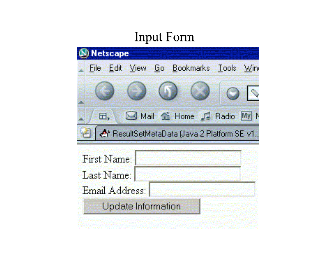# Input Form

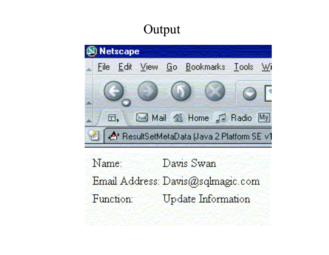# Output



Name: Davis Swan Email Address: Davis@sqlmagic.com Function. Update Information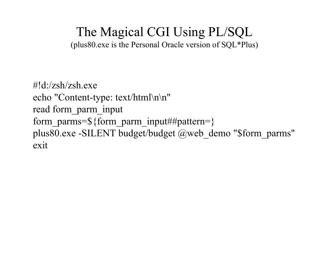#### The Magical CGI Using PL/SQL (plus80.exe is the Personal Oracle version of  $SQL*Plus)$ )

#!d:/zsh/zsh.exe echo "Content-type: text/html\n\n" read form\_parm\_input form parms=\${form parm input##pattern=} plus80.exe -SILENT budget/budget @web\_demo "\$form\_parms" exit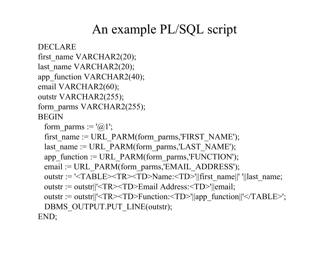# An example PL/SQL script

DECLARE

```
first_name VARCHAR2(20);
last_name VARCHAR2(20);
app_function VARCHAR2(40);
email VARCHAR2(60);
outstr VARCHAR2(255);
form_parms VARCHAR2(255);
BEGIN
```

```
form parms := \langle \omega_1 \rangle;
 first name := URL PARM(form parms,'FIRST NAME');
 last_name := URL_PARM(form_parms,'LAST_NAME');
 app function := URL PARM(form) parms,'FUNCTION');
 email := URL_PARM(form_parms,'EMAIL_ADDRESS');
 outstr := '<TABLE><TR><TD>Name:<TD>'||first_name||' '||last_name;
  outstr := outstr||'<TR><TD>Email Address:<TD>'||email;
 outstr := outstr||'<TR><TD>Function:<TD>'||app_function||'</TABLE>';
 DBMS_OUTPUT.PUT_LINE(outstr);
END;
```